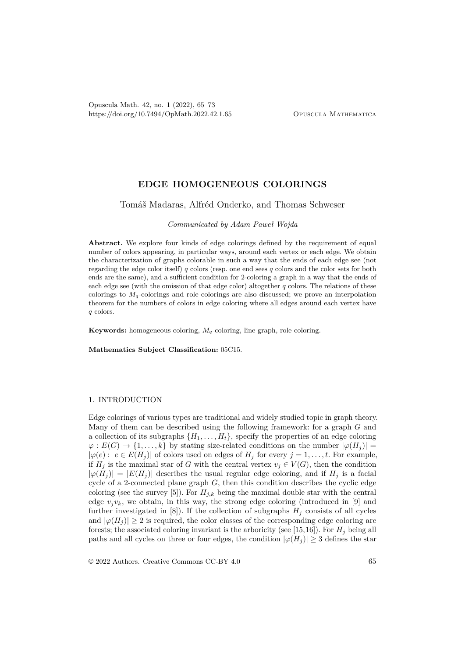# **EDGE HOMOGENEOUS COLORINGS**

## Tomáš Madaras, Alfréd Onderko, and Thomas Schweser

*Communicated by Adam Paweł Wojda*

Abstract. We explore four kinds of edge colorings defined by the requirement of equal number of colors appearing, in particular ways, around each vertex or each edge. We obtain the characterization of graphs colorable in such a way that the ends of each edge see (not regarding the edge color itself) *q* colors (resp. one end sees *q* colors and the color sets for both ends are the same), and a sufficient condition for 2-coloring a graph in a way that the ends of each edge see (with the omission of that edge color) altogether *q* colors. The relations of these colorings to  $M_q$ -colorings and role colorings are also discussed; we prove an interpolation theorem for the numbers of colors in edge coloring where all edges around each vertex have *q* colors.

**Keywords:** homogeneous coloring,  $M_q$ -coloring, line graph, role coloring.

**Mathematics Subject Classification:** 05C15.

## 1. INTRODUCTION

Edge colorings of various types are traditional and widely studied topic in graph theory. Many of them can be described using the following framework: for a graph *G* and a collection of its subgraphs  $\{H_1, \ldots, H_t\}$ , specify the properties of an edge coloring  $\varphi$  :  $E(G) \rightarrow \{1, ..., k\}$  by stating size-related conditions on the number  $|\varphi(H_j)| =$  $|\varphi(e): e \in E(H_j)|$  of colors used on edges of  $H_j$  for every  $j = 1, \ldots, t$ . For example, if  $H_j$  is the maximal star of *G* with the central vertex  $v_j \in V(G)$ , then the condition  $|\varphi(H_j)| = |E(H_j)|$  describes the usual regular edge coloring, and if  $H_j$  is a facial cycle of a 2-connected plane graph *G*, then this condition describes the cyclic edge coloring (see the survey [5]). For  $H_{i,k}$  being the maximal double star with the central edge  $v_j v_k$ , we obtain, in this way, the strong edge coloring (introduced in [9] and further investigated in  $[8]$ . If the collection of subgraphs  $H_j$  consists of all cycles and  $|\varphi(H_j)| \geq 2$  is required, the color classes of the corresponding edge coloring are forests; the associated coloring invariant is the arboricity (see [15,16]). For  $H_i$  being all paths and all cycles on three or four edges, the condition  $|\varphi(H_i)| \geq 3$  defines the star

© 2022 Authors. Creative Commons CC-BY 4.0 65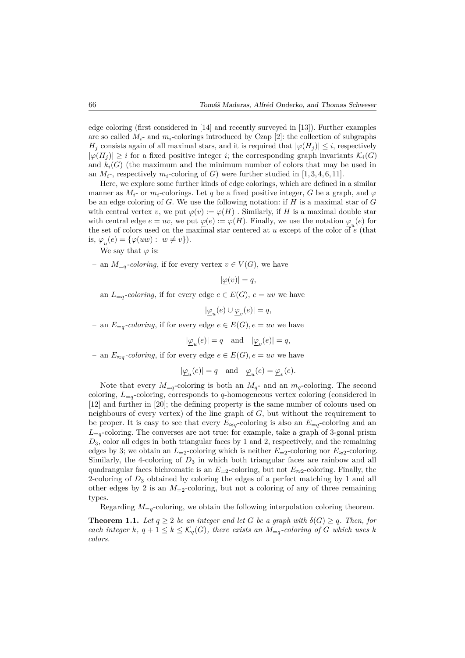edge coloring (first considered in [14] and recently surveyed in [13]). Further examples are so called  $M_i$ - and  $m_i$ -colorings introduced by Czap [2]: the collection of subgraphs *H*<sub>j</sub> consists again of all maximal stars, and it is required that  $|\varphi(H_i)| \leq i$ , respectively  $|\varphi(H_i)| \geq i$  for a fixed positive integer *i*; the corresponding graph invariants  $\mathcal{K}_i(G)$ and  $k_i(G)$  (the maximum and the minimum number of colors that may be used in an  $M_i$ <sup>-</sup>, respectively  $m_i$ -coloring of *G*) were further studied in [1, 3, 4, 6, 11].

Here, we explore some further kinds of edge colorings, which are defined in a similar manner as  $M_i$ - or  $m_i$ -colorings. Let q be a fixed positive integer, G be a graph, and  $\varphi$ be an edge coloring of *G*. We use the following notation: if *H* is a maximal star of *G* with central vertex *v*, we put  $\varphi(v) := \varphi(H)$ . Similarly, if *H* is a maximal double star with central edge  $e = uv$ , we put  $\underline{\varphi}(e) := \varphi(H)$ . Finally, we use the notation  $\underline{\varphi}_u(e)$  for the set of colors used on the maximal star centered at *u* except of the color of *e* (that is,  $\underline{\varphi}_u(e) = {\varphi(uw) : w \neq v}.$ 

We say that  $\varphi$  is:

– an  $M_{=q}$ -coloring, if for every vertex  $v \in V(G)$ , we have

$$
|\underline{\varphi}(v)| = q,
$$

− an  $L_{=q}$ *-coloring*, if for every edge  $e \in E(G)$ ,  $e = uv$  we have

 $|\underline{\varphi}_u(e) \cup \underline{\varphi}_v(e)| = q,$ 

− an  $E_{=q}$ -coloring, if for every edge  $e \in E(G)$ ,  $e = uv$  we have

$$
|\underline{\varphi}_u(e)|=q\quad\text{and}\quad |\underline{\varphi}_v(e)|=q,
$$

 $−$  an  $E_{\approx q}$ *-coloring*, if for every edge  $e \in E(G)$ ,  $e = uv$  we have

$$
|\underline{\varphi}_u(e)|=q\quad\text{and}\quad \underline{\varphi}_u(e)=\underline{\varphi}_v(e).
$$

Note that every  $M_{=q}$ -coloring is both an  $M_{q}$ - and an  $m_{q}$ -coloring. The second coloring, *L*<sup>=</sup>*q*-coloring, corresponds to *q*-homogeneous vertex coloring (considered in [12] and further in [20]; the defining property is the same number of colours used on neighbours of every vertex) of the line graph of *G*, but without the requirement to be proper. It is easy to see that every  $E_{\approx q}$ -coloring is also an  $E_{=q}$ -coloring and an  $L_{=q}$ -coloring. The converses are not true: for example, take a graph of 3-gonal prism *D*3, color all edges in both triangular faces by 1 and 2, respectively, and the remaining edges by 3; we obtain an  $L_{=2}$ -coloring which is neither  $E_{=2}$ -coloring nor  $E_{\approx 2}$ -coloring. Similarly, the 4-coloring of  $D_3$  in which both triangular faces are rainbow and all quadrangular faces bichromatic is an  $E_{=2}$ -coloring, but not  $E_{\approx 2}$ -coloring. Finally, the 2-coloring of *D*<sup>3</sup> obtained by coloring the edges of a perfect matching by 1 and all other edges by 2 is an  $M_{-2}$ -coloring, but not a coloring of any of three remaining types.

Regarding  $M_{=q}$ -coloring, we obtain the following interpolation coloring theorem.

**Theorem 1.1.** Let  $q \geq 2$  be an integer and let G be a graph with  $\delta(G) \geq q$ . Then, for *each integer*  $k$ *,*  $q + 1 \leq k \leq K_q(G)$ *, there exists an*  $M_{=q}$ *-coloring of*  $G$  *which uses*  $k$ *colors.*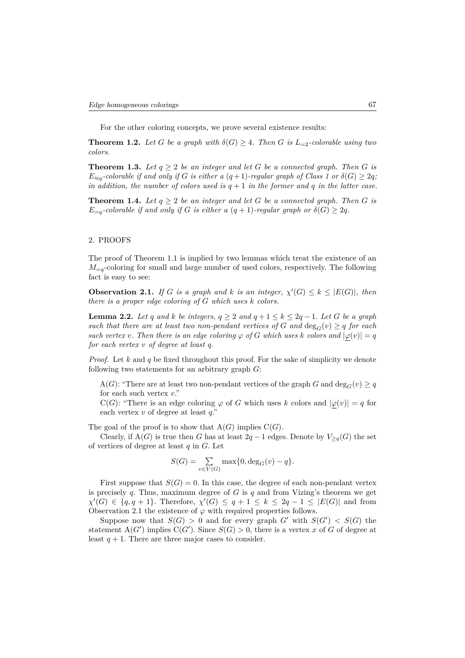For the other coloring concepts, we prove several existence results:

**Theorem 1.2.** Let *G* be a graph with  $\delta(G) \geq 4$ . Then *G* is  $L_{=2}$ -colorable using two *colors.*

**Theorem 1.3.** Let  $q > 2$  be an integer and let G be a connected graph. Then G is  $E_{\approx q}$ *-colorable if and only if G is either a*  $(q+1)$ *-regular graph of Class 1 or*  $\delta(G) \geq 2q$ *; in addition, the number of colors used is*  $q + 1$  *in the former and*  $q$  *in the latter case.* 

**Theorem 1.4.** Let  $q \geq 2$  be an integer and let G be a connected graph. Then G is *E*<sub>=*q*</sub>-colorable if and only if *G* is either a  $(q + 1)$ -regular graph or  $\delta(G) \geq 2q$ .

## 2. PROOFS

The proof of Theorem 1.1 is implied by two lemmas which treat the existence of an  $M_{=q}$ -coloring for small and large number of used colors, respectively. The following fact is easy to see:

**Observation 2.1.** *If G is a graph and k is an integer,*  $\chi'(G) \leq k \leq |E(G)|$ *, then there is a proper edge coloring of G which uses k colors.*

**Lemma 2.2.** *Let q and k be integers,*  $q \geq 2$  *and*  $q + 1 \leq k \leq 2q - 1$ *. Let G be a graph such that there are at least two non-pendant vertices of*  $G$  *and*  $\deg_G(v) \geq q$  *for each such vertex v. Then there is an edge coloring*  $\varphi$  *of G which uses k colors and*  $|\varphi(v)| = q$ *for each vertex v of degree at least q.*

*Proof.* Let *k* and *q* be fixed throughout this proof. For the sake of simplicity we denote following two statements for an arbitrary graph *G*:

A(*G*): "There are at least two non-pendant vertices of the graph *G* and  $\deg_G(v) \geq q$ for each such vertex *v*."

C(*G*): "There is an edge coloring  $\varphi$  of *G* which uses *k* colors and  $|\varphi(v)| = q$  for each vertex *v* of degree at least *q*."

The goal of the proof is to show that  $A(G)$  implies  $C(G)$ .

Clearly, if  $A(G)$  is true then *G* has at least 2*q* − 1 edges. Denote by  $V_{\geq q}(G)$  the set of vertices of degree at least *q* in *G*. Let

$$
S(G) = \sum_{v \in V(G)} \max\{0, \deg_G(v) - q\}.
$$

First suppose that  $S(G) = 0$ . In this case, the degree of each non-pendant vertex is precisely *q*. Thus, maximum degree of *G* is *q* and from Vizing's theorem we get  $\chi'(G) \in \{q, q + 1\}$ . Therefore,  $\chi'(G) \leq q + 1 \leq k \leq 2q - 1 \leq |E(G)|$  and from Observation 2.1 the existence of  $\varphi$  with required properties follows.

Suppose now that  $S(G) > 0$  and for every graph  $G'$  with  $S(G') < S(G)$  the statement  $A(G')$  implies  $C(G')$ . Since  $S(G) > 0$ , there is a vertex x of G of degree at least  $q + 1$ . There are three major cases to consider.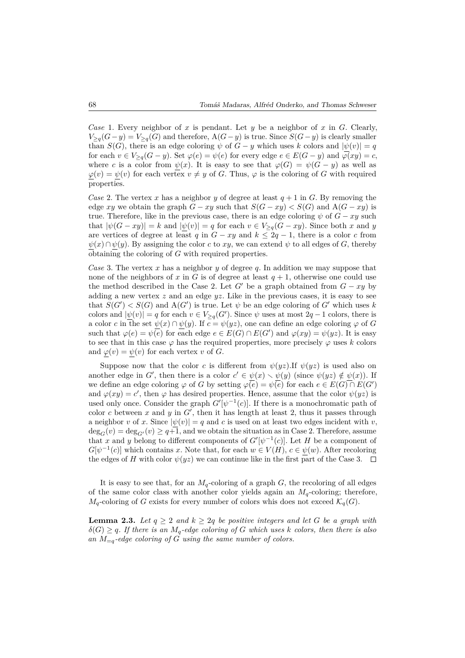*Case* 1. Every neighbor of *x* is pendant. Let *y* be a neighbor of *x* in *G*. Clearly, *V*>*q*(*G*−*y*) = *V*>*q*(*G*) and therefore, A(*G*−*y*) is true. Since *S*(*G*−*y*) is clearly smaller than *S*(*G*), there is an edge coloring  $\psi$  of *G* − *y* which uses *k* colors and  $|\psi(v)| = q$ for each  $v \in V_{\geq q}(G - y)$ . Set  $\varphi(e) = \psi(e)$  for every edge  $e \in E(G - y)$  and  $\varphi(xy) = c$ , where *c* is a color from  $\psi(x)$ . It is easy to see that  $\varphi(G) = \psi(G - y)$  as well as  $\varphi(v) = \psi(v)$  for each vertex  $v \neq y$  of *G*. Thus,  $\varphi$  is the coloring of *G* with required properties.

*Case* 2. The vertex *x* has a neighbor *y* of degree at least  $q + 1$  in *G*. By removing the edge *xy* we obtain the graph  $G - xy$  such that  $S(G - xy) < S(G)$  and  $A(G - xy)$  is true. Therefore, like in the previous case, there is an edge coloring  $\psi$  of  $G - xy$  such that  $|\psi(G - xy)| = k$  and  $|\psi(v)| = q$  for each  $v \in V_{\geq q}(G - xy)$ . Since both *x* and *y* are vertices of degree at least *q* in  $G - xy$  and  $k \leq 2q - 1$ , there is a color *c* from  $\psi(x) \cap \psi(y)$ . By assigning the color *c* to *xy*, we can extend  $\psi$  to all edges of *G*, thereby obtaining the coloring of *G* with required properties.

*Case* 3. The vertex *x* has a neighbor *y* of degree *q*. In addition we may suppose that none of the neighbors of x in G is of degree at least  $q + 1$ , otherwise one could use the method described in the Case 2. Let  $G'$  be a graph obtained from  $G - xy$  by adding a new vertex *z* and an edge *yz*. Like in the previous cases, it is easy to see that  $S(G') < S(G)$  and  $A(G')$  is true. Let  $\psi$  be an edge coloring of  $G'$  which uses k colors and  $|\psi(v)| = q$  for each  $v \in V_{\geq q}(G')$ . Since  $\psi$  uses at most 2*q* − 1 colors, there is a color *c* in the set  $\psi(x) \cap \psi(y)$ . If  $c = \psi(yz)$ , one can define an edge coloring  $\varphi$  of *G* such that  $\varphi(e) = \psi(e)$  for each edge  $e \in E(G) \cap E(G')$  and  $\varphi(xy) = \psi(yz)$ . It is easy to see that in this case  $\varphi$  has the required properties, more precisely  $\varphi$  uses *k* colors and  $\varphi(v) = \psi(v)$  for each vertex *v* of *G*.

Suppose now that the color *c* is different from  $\psi(\psi z)$ . If  $\psi(\psi z)$  is used also on another edge in *G*<sup>'</sup>, then there is a color  $c' \in \psi(x) \setminus \psi(y)$  (since  $\psi(yz) \notin \psi(x)$ ). If we define an edge coloring  $\varphi$  of *G* by setting  $\varphi(e) = \psi(e)$  for each  $e \in E(G) \cap E(G')$ and  $\varphi(xy) = c'$ , then  $\varphi$  has desired properties. Hence, assume that the color  $\psi(yz)$  is used only once. Consider the graph  $G'[\psi^{-1}(c)]$ . If there is a monochromatic path of color *c* between  $x$  and  $y$  in  $G'$ , then it has length at least 2, thus it passes through a neighbor *v* of *x*. Since  $|\psi(v)| = q$  and *c* is used on at least two edges incident with *v*,  $deg_G(v) = deg_{G'}(v) \geq q+1$ , and we obtain the situation as in Case 2. Therefore, assume that *x* and *y* belong to different components of  $G'[\psi^{-1}(c)]$ . Let *H* be a component of  $G[\psi^{-1}(c)]$  which contains *x*. Note that, for each  $w \in V(H)$ ,  $c \in \psi(w)$ . After recoloring the edges of *H* with color  $\psi(yz)$  we can continue like in the first part of the Case 3.  $\Box$ 

It is easy to see that, for an  $M_q$ -coloring of a graph *G*, the recoloring of all edges of the same color class with another color yields again an  $M_q$ -coloring; therefore,  $M_q$ -coloring of *G* exists for every number of colors whis does not exceed  $\mathcal{K}_q(G)$ .

**Lemma 2.3.** Let  $q \geq 2$  and  $k \geq 2q$  be positive integers and let G be a graph with  $\delta(G) \geq q$ *. If there is an*  $M_q$ *-edge coloring of G which uses k colors, then there is also* an  $M_{=q}$ -edge coloring of G using the same number of colors.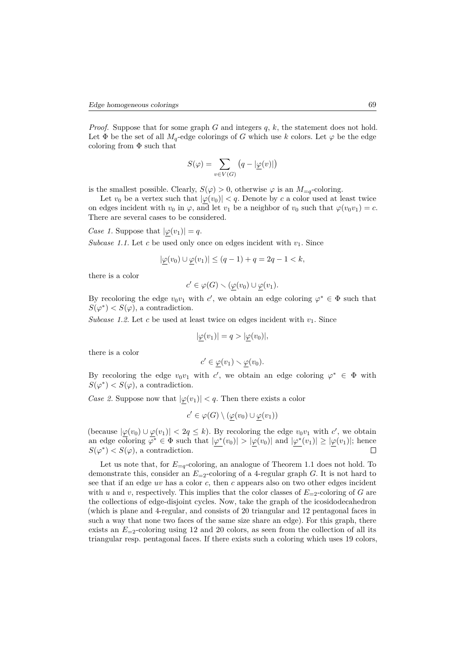*Proof.* Suppose that for some graph *G* and integers *q*, *k*, the statement does not hold. Let  $\Phi$  be the set of all  $M_q$ -edge colorings of *G* which use *k* colors. Let  $\varphi$  be the edge coloring from  $\Phi$  such that

$$
S(\varphi) = \sum_{v \in V(G)} (q - |\underline{\varphi}(v)|)
$$

is the smallest possible. Clearly,  $S(\varphi) > 0$ , otherwise  $\varphi$  is an  $M_{=q}$ -coloring.

Let  $v_0$  be a vertex such that  $|\varphi(v_0)| < q$ . Denote by *c* a color used at least twice on edges incident with  $v_0$  in  $\varphi$ , and let  $v_1$  be a neighbor of  $v_0$  such that  $\varphi(v_0v_1) = c$ . There are several cases to be considered.

*Case 1.* Suppose that  $|\varphi(v_1)| = q$ .

*Subcase 1.1.* Let *c* be used only once on edges incident with  $v_1$ . Since

$$
|\underline{\varphi}(v_0) \cup \underline{\varphi}(v_1)| \le (q-1) + q = 2q - 1 < k,
$$

there is a color

$$
c' \in \varphi(G) \smallsetminus (\underline{\varphi}(v_0) \cup \underline{\varphi}(v_1).
$$

By recoloring the edge  $v_0v_1$  with *c*<sup>'</sup>, we obtain an edge coloring  $\varphi^* \in \Phi$  such that  $S(\varphi^*) < S(\varphi)$ , a contradiction.

*Subcase 1.2.* Let  $c$  be used at least twice on edges incident with  $v_1$ . Since

$$
|\underline{\varphi}(v_1)| = q > |\underline{\varphi}(v_0)|,
$$

there is a color

$$
c' \in \underline{\varphi}(v_1) \smallsetminus \underline{\varphi}(v_0).
$$

By recoloring the edge  $v_0v_1$  with *c*<sup>'</sup>, we obtain an edge coloring  $\varphi^* \in \Phi$  with  $S(\varphi^*) < S(\varphi)$ , a contradiction.

*Case 2.* Suppose now that  $|\varphi(v_1)| < q$ . Then there exists a color

$$
c' \in \varphi(G) \setminus (\underline{\varphi}(v_0) \cup \underline{\varphi}(v_1))
$$

(because  $|\varphi(v_0) \cup \varphi(v_1)| < 2q \leq k$ ). By recoloring the edge  $v_0v_1$  with *c*', we obtain an edge coloring  $\varphi^* \in \Phi$  such that  $|\underline{\varphi^*}(v_0)| > |\underline{\varphi}(v_0)|$  and  $|\underline{\varphi^*}(v_1)| \geq |\underline{\varphi}(v_1)|$ ; hence  $S(\varphi^*) < S(\varphi)$ , a contradiction.

Let us note that, for  $E_{=q}$ -coloring, an analogue of Theorem 1.1 does not hold. To demonstrate this, consider an  $E_{=2}$ -coloring of a 4-regular graph *G*. It is not hard to see that if an edge *uv* has a color *c*, then *c* appears also on two other edges incident with *u* and *v*, respectively. This implies that the color classes of  $E_{=2}$ -coloring of *G* are the collections of edge-disjoint cycles. Now, take the graph of the icosidodecahedron (which is plane and 4-regular, and consists of 20 triangular and 12 pentagonal faces in such a way that none two faces of the same size share an edge). For this graph, there exists an  $E_{-2}$ -coloring using 12 and 20 colors, as seen from the collection of all its triangular resp. pentagonal faces. If there exists such a coloring which uses 19 colors,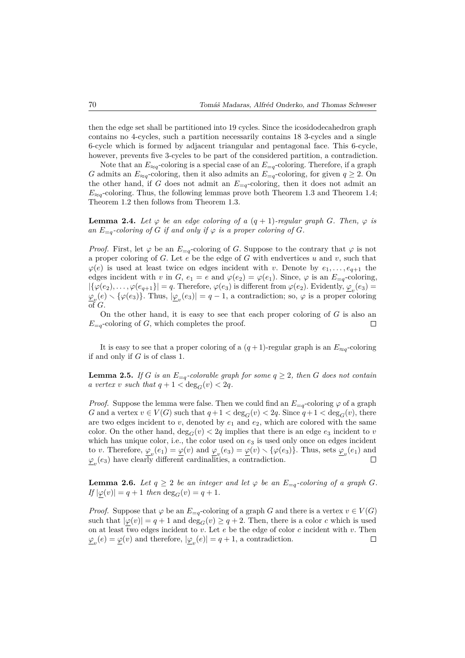then the edge set shall be partitioned into 19 cycles. Since the icosidodecahedron graph contains no 4-cycles, such a partition necessarily contains 18 3-cycles and a single 6-cycle which is formed by adjacent triangular and pentagonal face. This 6-cycle, however, prevents five 3-cycles to be part of the considered partition, a contradiction.

Note that an  $E_{\approx q}$ -coloring is a special case of an  $E_{=q}$ -coloring. Therefore, if a graph *G* admits an  $E_{\approx q}$ -coloring, then it also admits an  $E_{=q}$ -coloring, for given  $q \ge 2$ . On the other hand, if *G* does not admit an  $E_{=q}$ -coloring, then it does not admit an  $E_{\approx q}$ -coloring. Thus, the following lemmas prove both Theorem 1.3 and Theorem 1.4; Theorem 1.2 then follows from Theorem 1.3.

**Lemma 2.4.** Let  $\varphi$  be an edge coloring of a  $(q + 1)$ -regular graph G. Then,  $\varphi$  is *an*  $E_{=q}$ -coloring of *G if and only if*  $\varphi$  *is a proper coloring of G.* 

*Proof.* First, let  $\varphi$  be an  $E_{=q}$ -coloring of *G*. Suppose to the contrary that  $\varphi$  is not a proper coloring of *G*. Let *e* be the edge of *G* with endvertices *u* and *v*, such that  $\varphi(e)$  is used at least twice on edges incident with *v*. Denote by  $e_1, \ldots, e_{q+1}$  the edges incident with *v* in *G*,  $e_1 = e$  and  $\varphi(e_2) = \varphi(e_1)$ . Since,  $\varphi$  is an  $E_{=q}$ -coloring,  $|\{\varphi(e_2), \ldots, \varphi(e_{q+1})\}| = q$ . Therefore,  $\varphi(e_3)$  is different from  $\varphi(e_2)$ . Evidently,  $\underline{\varphi}_v(e_3) =$  $\varphi_{\psi}(e) \setminus {\varphi}(e_3)$ . Thus,  $|\underline{\varphi}_{\psi}(e_3)| = q - 1$ , a contradiction; so,  $\varphi$  is a proper coloring of *G*.

On the other hand, it is easy to see that each proper coloring of *G* is also an  $E_{=q}$ -coloring of *G*, which completes the proof.  $\Box$ 

It is easy to see that a proper coloring of a  $(q + 1)$ -regular graph is an  $E_{\approx q}$ -coloring if and only if *G* is of class 1.

**Lemma 2.5.** *If G is an*  $E_{=q}$ *-colorable graph for some*  $q \geq 2$ *, then G does not contain a vertex v such that*  $q + 1 < \deg_G(v) < 2q$ *.* 

*Proof.* Suppose the lemma were false. Then we could find an  $E_{=q}$ -coloring  $\varphi$  of a graph *G* and a vertex  $v \in V(G)$  such that  $q+1 < deg_G(v) < 2q$ . Since  $q+1 < deg_G(v)$ , there are two edges incident to  $v$ , denoted by  $e_1$  and  $e_2$ , which are colored with the same color. On the other hand,  $\deg_G(v) < 2q$  implies that there is an edge  $e_3$  incident to *v* which has unique color, i.e., the color used on  $e_3$  is used only once on edges incident to *v*. Therefore,  $\varphi_v(e_1) = \varphi(v)$  and  $\varphi_v(e_3) = \varphi(v) \setminus {\varphi(e_3)}$ . Thus, sets  $\varphi_v(e_1)$  and  $\varphi$ <sub>*v*</sub>(*e*<sub>3</sub>) have clearly different cardinalities, a contradiction.  $\Box$ 

**Lemma 2.6.** *Let*  $q \geq 2$  *be an integer and let*  $\varphi$  *be an*  $E_{=q}$ *-coloring of a graph G.*  $If |\varphi(v)| = q + 1$  *then*  $deg_G(v) = q + 1$ *.* 

*Proof.* Suppose that  $\varphi$  be an  $E_{=q}$ -coloring of a graph *G* and there is a vertex  $v \in V(G)$ such that  $|\varphi(v)| = q + 1$  and  $\deg_G(v) \geq q + 2$ . Then, there is a color *c* which is used on at least two edges incident to *v*. Let *e* be the edge of color *c* incident with *v*. Then  $\mathcal{L}_v(e) = \mathcal{L}(v)$  and therefore,  $|\mathcal{L}_v(e)| = q + 1$ , a contradiction.  $\Box$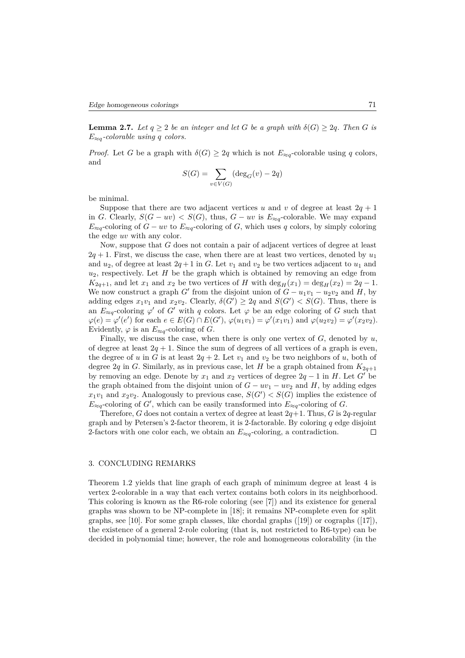**Lemma 2.7.** *Let*  $q \geq 2$  *be an integer and let G be a graph with*  $\delta(G) \geq 2q$ *. Then G is E*≈*q-colorable using q colors.*

*Proof.* Let *G* be a graph with  $\delta(G) \geq 2q$  which is not  $E_{\approx q}$ -colorable using *q* colors, and

$$
S(G) = \sum_{v \in V(G)} (\deg_G(v) - 2q)
$$

be minimal.

Suppose that there are two adjacent vertices *u* and *v* of degree at least  $2q + 1$ in *G*. Clearly,  $S(G - uv) < S(G)$ , thus,  $G - uv$  is  $E_{\approx q}$ -colorable. We may expand  $E_{\approx q}$ -coloring of *G* − *uv* to  $E_{\approx q}$ -coloring of *G*, which uses *q* colors, by simply coloring the edge *uv* with any color.

Now, suppose that *G* does not contain a pair of adjacent vertices of degree at least  $2q + 1$ . First, we discuss the case, when there are at least two vertices, denoted by  $u_1$ and  $u_2$ , of degree at least  $2q + 1$  in *G*. Let  $v_1$  and  $v_2$  be two vertices adjacent to  $u_1$  and *u*2, respectively. Let *H* be the graph which is obtained by removing an edge from  $K_{2q+1}$ , and let *x*<sub>1</sub> and *x*<sub>2</sub> be two vertices of *H* with deg<sub>*H*</sub>(*x*<sub>1</sub>) = deg<sub>*H*</sub>(*x*<sub>2</sub>) = 2*q* − 1. We now construct a graph *G*<sup> $\prime$ </sup> from the disjoint union of  $G - u_1v_1 - u_2v_2$  and *H*, by adding edges  $x_1v_1$  and  $x_2v_2$ . Clearly,  $\delta(G') \geq 2q$  and  $S(G') < S(G)$ . Thus, there is an  $E_{\approx q}$ -coloring  $\varphi'$  of *G'* with *q* colors. Let  $\varphi$  be an edge coloring of *G* such that  $\varphi(e) = \varphi'(e')$  for each  $e \in E(G) \cap E(G')$ ,  $\varphi(u_1v_1) = \varphi'(x_1v_1)$  and  $\varphi(u_2v_2) = \varphi'(x_2v_2)$ . Evidently,  $\varphi$  is an  $E_{\approx q}$ -coloring of *G*.

Finally, we discuss the case, when there is only one vertex of *G*, denoted by *u*, of degree at least  $2q + 1$ . Since the sum of degrees of all vertices of a graph is even, the degree of *u* in *G* is at least  $2q + 2$ . Let  $v_1$  and  $v_2$  be two neighbors of *u*, both of degree 2*q* in *G*. Similarly, as in previous case, let *H* be a graph obtained from  $K_{2q+1}$ by removing an edge. Denote by  $x_1$  and  $x_2$  vertices of degree  $2q - 1$  in *H*. Let *G*<sup>'</sup> be the graph obtained from the disjoint union of  $G - uv_1 - uv_2$  and  $H$ , by adding edges  $x_1v_1$  and  $x_2v_2$ . Analogously to previous case,  $S(G') < S(G)$  implies the existence of  $E_{\approx q}$ -coloring of *G*<sup>'</sup>, which can be easily transformed into  $E_{\approx q}$ -coloring of *G*.

Therefore, *G* does not contain a vertex of degree at least  $2q+1$ . Thus, *G* is  $2q$ -regular graph and by Petersen's 2-factor theorem, it is 2-factorable. By coloring  $q$  edge disjoint 2-factors with one color each, we obtain an  $E_{\approx q}$ -coloring, a contradiction.  $\Box$ 

#### 3. CONCLUDING REMARKS

Theorem 1.2 yields that line graph of each graph of minimum degree at least 4 is vertex 2-colorable in a way that each vertex contains both colors in its neighborhood. This coloring is known as the R6-role coloring (see [7]) and its existence for general graphs was shown to be NP-complete in [18]; it remains NP-complete even for split graphs, see [10]. For some graph classes, like chordal graphs ([19]) or cographs ([17]), the existence of a general 2-role coloring (that is, not restricted to R6-type) can be decided in polynomial time; however, the role and homogeneous colorability (in the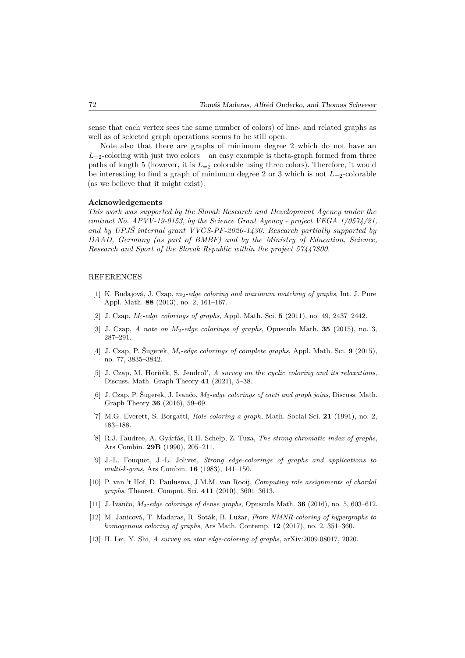sense that each vertex sees the same number of colors) of line- and related graphs as well as of selected graph operations seems to be still open.

Note also that there are graphs of minimum degree 2 which do not have an  $L_{=2}$ -coloring with just two colors – an easy example is theta-graph formed from three paths of length 5 (however, it is  $L_{=2}$  colorable using three colors). Therefore, it would be interesting to find a graph of minimum degree 2 or 3 which is not  $L_{=2}$ -colorable (as we believe that it might exist).

#### **Acknowledgements**

*This work was supported by the Slovak Research and Development Agency under the contract No. APVV-19-0153, by the Science Grant Agency - project VEGA 1/0574/21, and by UPJŠ internal grant VVGS-PF-2020-1430. Research partially supported by DAAD, Germany (as part of BMBF) and by the Ministry of Education, Science, Research and Sport of the Slovak Republic within the project 57447800.*

## REFERENCES

- [1] K. Budajová, J. Czap, *m*2*-edge coloring and maximum matching of graphs*, Int. J. Pure Appl. Math. **88** (2013), no. 2, 161–167.
- [2] J. Czap, *Mi-edge colorings of graphs*, Appl. Math. Sci. **5** (2011), no. 49, 2437–2442.
- [3] J. Czap, *A note on M*2*-edge colorings of graphs*, Opuscula Math. **35** (2015), no. 3, 287–291.
- [4] J. Czap, P. Šugerek, *Mi-edge colorings of complete graphs*, Appl. Math. Sci. **9** (2015), no. 77, 3835–3842.
- [5] J. Czap, M. Horňák, S. Jendrol', *A survey on the cyclic coloring and its relaxations*, Discuss. Math. Graph Theory **41** (2021), 5–38.
- [6] J. Czap, P. Šugerek, J. Ivančo, *M*2*-edge colorings of cacti and graph joins*, Discuss. Math. Graph Theory **36** (2016), 59–69.
- [7] M.G. Everett, S. Borgatti, *Role coloring a graph*, Math. Social Sci. **21** (1991), no. 2, 183–188.
- [8] R.J. Faudree, A. Gyárfás, R.H. Schelp, Z. Tuza, *The strong chromatic index of graphs*, Ars Combin. **29B** (1990), 205–211.
- [9] J.-L. Fouquet, J.-L. Jolivet, *Strong edge-colorings of graphs and applications to multi-k-gons*, Ars Combin. **16** (1983), 141–150.
- [10] P. van 't Hof, D. Paulusma, J.M.M. van Rooij, *Computing role assignments of chordal graphs*, Theoret. Comput. Sci. **411** (2010), 3601–3613.
- [11] J. Ivančo, *M*2*-edge colorings of dense graphs*, Opuscula Math. **36** (2016), no. 5, 603–612.
- [12] M. Janicová, T. Madaras, R. Soták, B. Lužar, *From NMNR-coloring of hypergraphs to homogenous coloring of graphs*, Ars Math. Contemp. **12** (2017), no. 2, 351–360.
- [13] H. Lei, Y. Shi, *A survey on star edge-coloring of graphs*, arXiv:2009.08017, 2020.